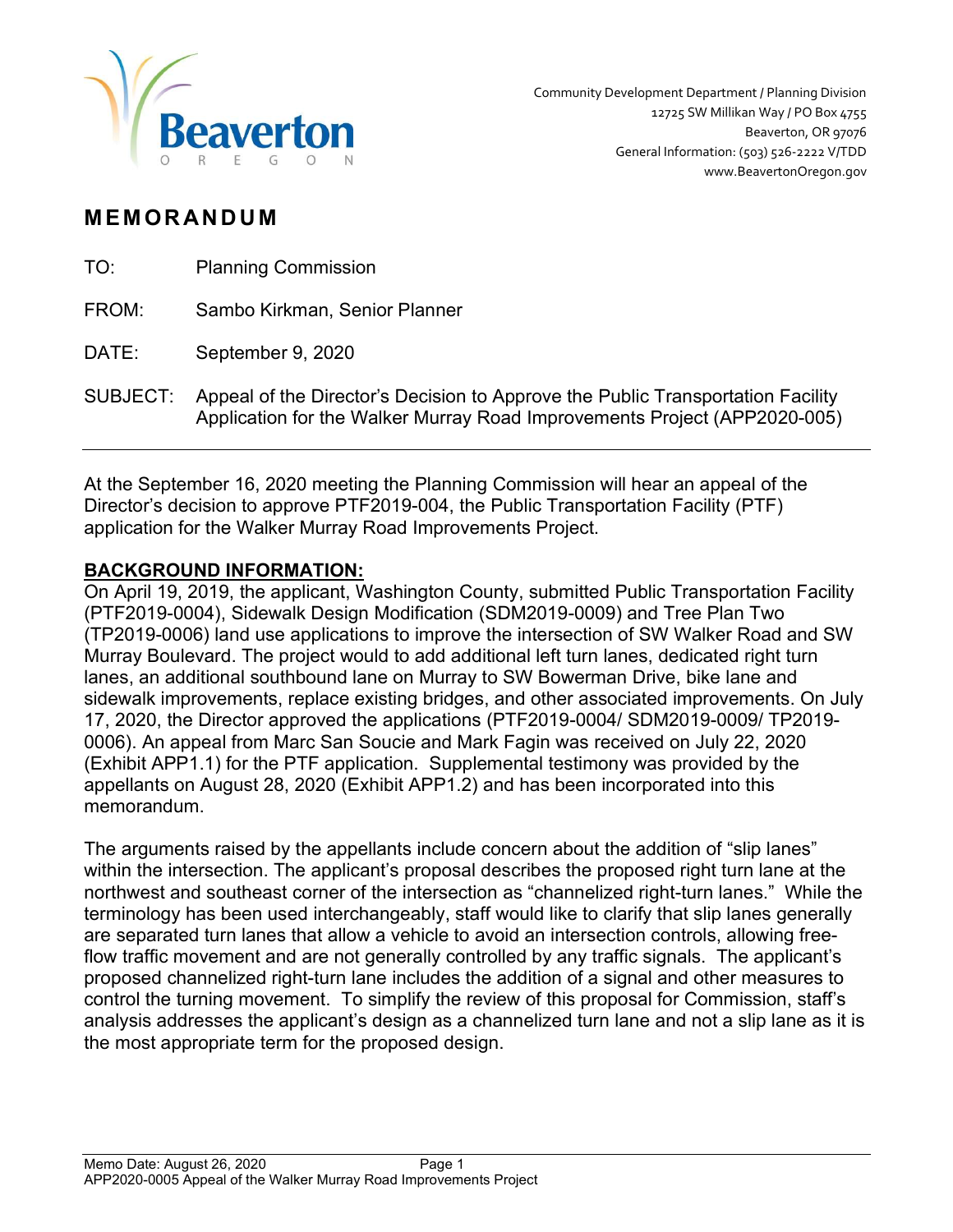

# **MEMORANDUM**

| TO:   | <b>Planning Commission</b>    |
|-------|-------------------------------|
| FROM: | Sambo Kirkman, Senior Planner |
| DATE: | September 9, 2020             |

SUBJECT: Appeal of the Director's Decision to Approve the Public Transportation Facility Application for the Walker Murray Road Improvements Project (APP2020-005)

At the September 16, 2020 meeting the Planning Commission will hear an appeal of the Director's decision to approve PTF2019-004, the Public Transportation Facility (PTF) application for the Walker Murray Road Improvements Project.

# BACKGROUND INFORMATION:

On April 19, 2019, the applicant, Washington County, submitted Public Transportation Facility (PTF2019-0004), Sidewalk Design Modification (SDM2019-0009) and Tree Plan Two (TP2019-0006) land use applications to improve the intersection of SW Walker Road and SW Murray Boulevard. The project would to add additional left turn lanes, dedicated right turn lanes, an additional southbound lane on Murray to SW Bowerman Drive, bike lane and sidewalk improvements, replace existing bridges, and other associated improvements. On July 17, 2020, the Director approved the applications (PTF2019-0004/ SDM2019-0009/ TP2019- 0006). An appeal from Marc San Soucie and Mark Fagin was received on July 22, 2020 (Exhibit APP1.1) for the PTF application. Supplemental testimony was provided by the appellants on August 28, 2020 (Exhibit APP1.2) and has been incorporated into this memorandum.

The arguments raised by the appellants include concern about the addition of "slip lanes" within the intersection. The applicant's proposal describes the proposed right turn lane at the northwest and southeast corner of the intersection as "channelized right-turn lanes." While the terminology has been used interchangeably, staff would like to clarify that slip lanes generally are separated turn lanes that allow a vehicle to avoid an intersection controls, allowing freeflow traffic movement and are not generally controlled by any traffic signals. The applicant's proposed channelized right-turn lane includes the addition of a signal and other measures to control the turning movement. To simplify the review of this proposal for Commission, staff's analysis addresses the applicant's design as a channelized turn lane and not a slip lane as it is the most appropriate term for the proposed design.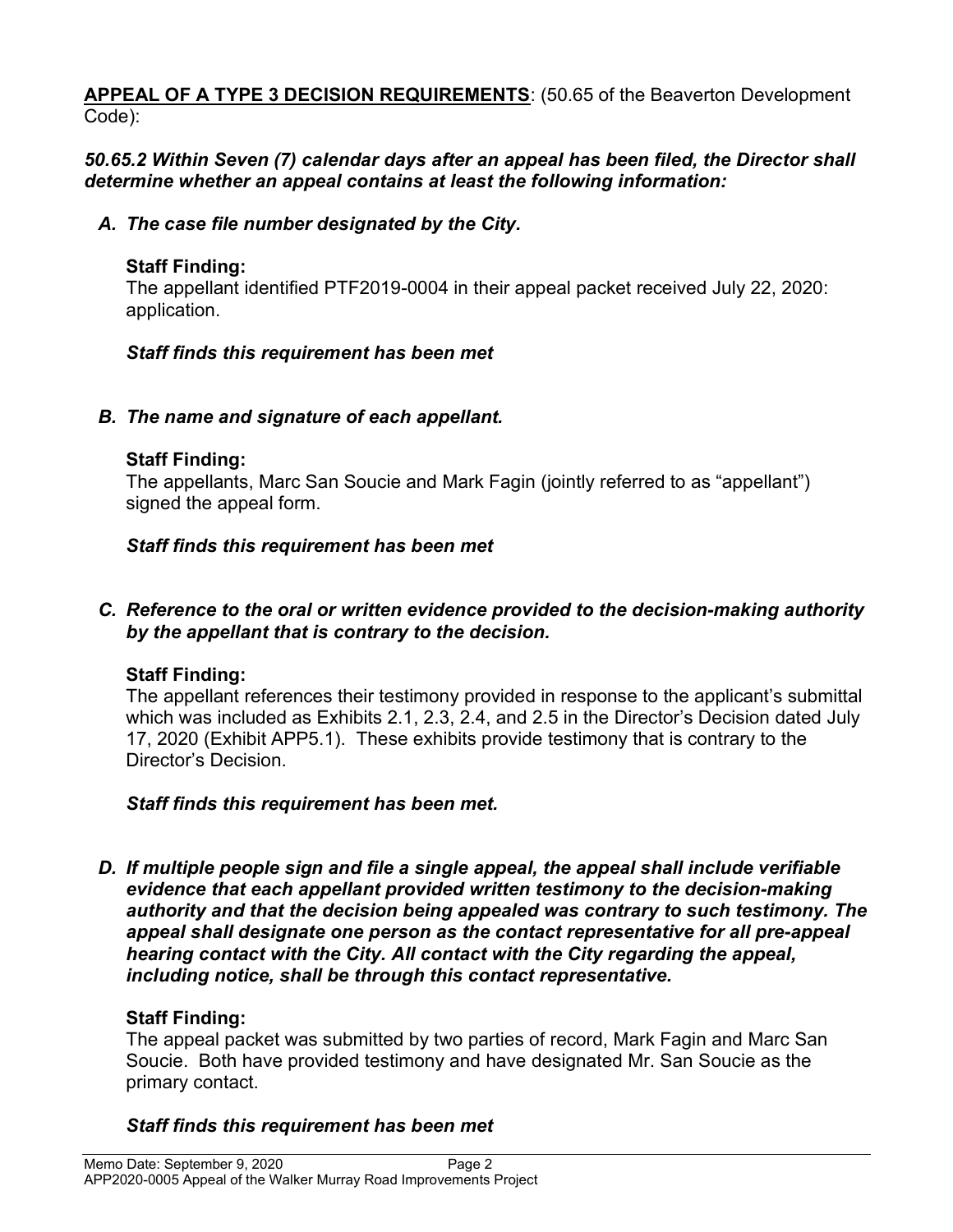#### APPEAL OF A TYPE 3 DECISION REQUIREMENTS: (50.65 of the Beaverton Development Code):

## 50.65.2 Within Seven (7) calendar days after an appeal has been filed, the Director shall determine whether an appeal contains at least the following information:

## A. The case file number designated by the City.

# Staff Finding:

The appellant identified PTF2019-0004 in their appeal packet received July 22, 2020: application.

# Staff finds this requirement has been met

# B. The name and signature of each appellant.

## Staff Finding:

The appellants, Marc San Soucie and Mark Fagin (jointly referred to as "appellant") signed the appeal form.

# Staff finds this requirement has been met

#### C. Reference to the oral or written evidence provided to the decision-making authority by the appellant that is contrary to the decision.

# Staff Finding:

The appellant references their testimony provided in response to the applicant's submittal which was included as Exhibits 2.1, 2.3, 2.4, and 2.5 in the Director's Decision dated July 17, 2020 (Exhibit APP5.1). These exhibits provide testimony that is contrary to the Director's Decision.

## Staff finds this requirement has been met.

D. If multiple people sign and file a single appeal, the appeal shall include verifiable evidence that each appellant provided written testimony to the decision-making authority and that the decision being appealed was contrary to such testimony. The appeal shall designate one person as the contact representative for all pre-appeal hearing contact with the City. All contact with the City regarding the appeal, including notice, shall be through this contact representative.

# Staff Finding:

The appeal packet was submitted by two parties of record, Mark Fagin and Marc San Soucie. Both have provided testimony and have designated Mr. San Soucie as the primary contact.

# Staff finds this requirement has been met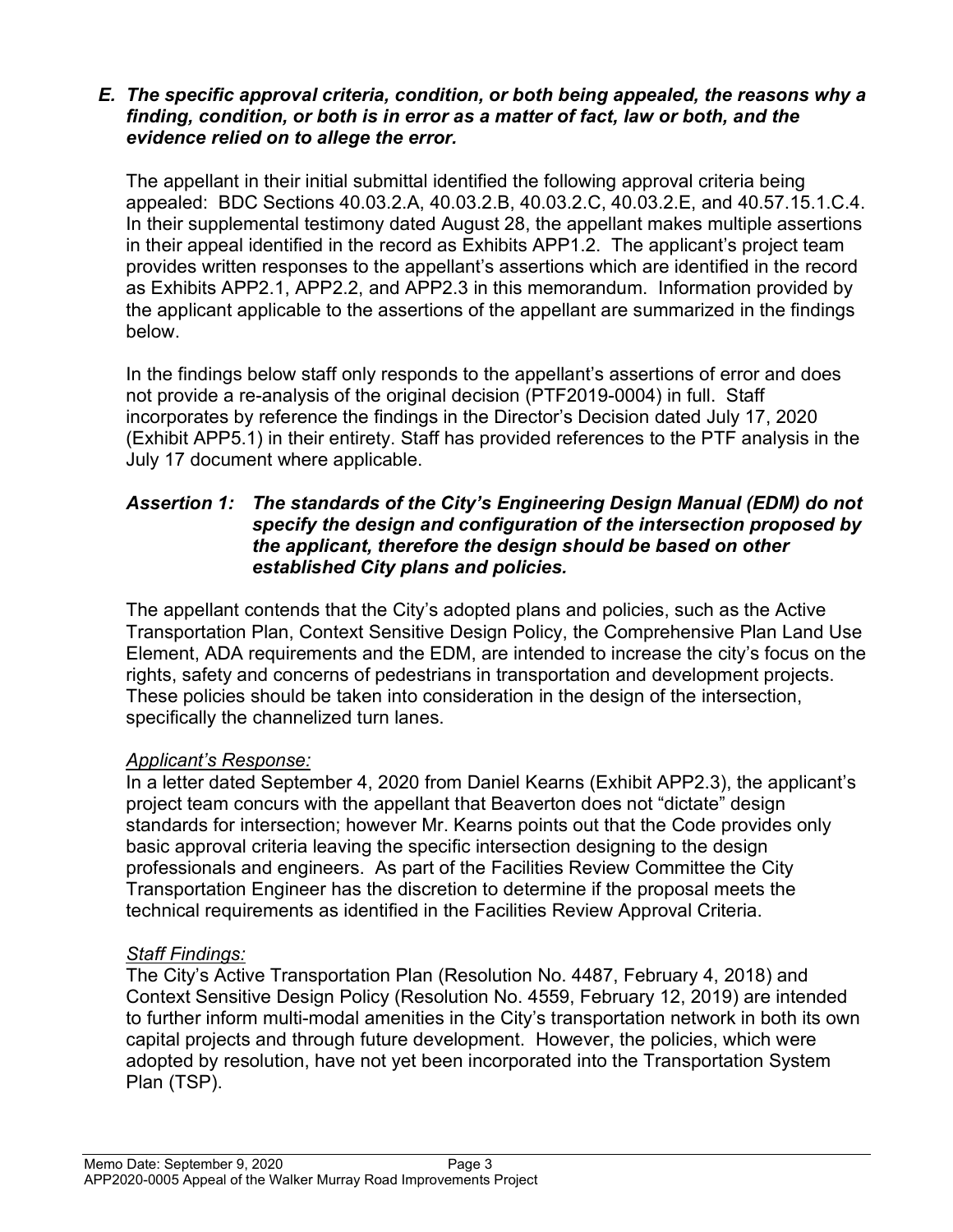#### E. The specific approval criteria, condition, or both being appealed, the reasons why a finding, condition, or both is in error as a matter of fact, law or both, and the evidence relied on to allege the error.

The appellant in their initial submittal identified the following approval criteria being appealed: BDC Sections 40.03.2.A, 40.03.2.B, 40.03.2.C, 40.03.2.E, and 40.57.15.1.C.4. In their supplemental testimony dated August 28, the appellant makes multiple assertions in their appeal identified in the record as Exhibits APP1.2. The applicant's project team provides written responses to the appellant's assertions which are identified in the record as Exhibits APP2.1, APP2.2, and APP2.3 in this memorandum. Information provided by the applicant applicable to the assertions of the appellant are summarized in the findings below.

In the findings below staff only responds to the appellant's assertions of error and does not provide a re-analysis of the original decision (PTF2019-0004) in full. Staff incorporates by reference the findings in the Director's Decision dated July 17, 2020 (Exhibit APP5.1) in their entirety. Staff has provided references to the PTF analysis in the July 17 document where applicable.

#### Assertion 1: The standards of the City's Engineering Design Manual (EDM) do not specify the design and configuration of the intersection proposed by the applicant, therefore the design should be based on other established City plans and policies.

The appellant contends that the City's adopted plans and policies, such as the Active Transportation Plan, Context Sensitive Design Policy, the Comprehensive Plan Land Use Element, ADA requirements and the EDM, are intended to increase the city's focus on the rights, safety and concerns of pedestrians in transportation and development projects. These policies should be taken into consideration in the design of the intersection, specifically the channelized turn lanes.

## Applicant's Response:

In a letter dated September 4, 2020 from Daniel Kearns (Exhibit APP2.3), the applicant's project team concurs with the appellant that Beaverton does not "dictate" design standards for intersection; however Mr. Kearns points out that the Code provides only basic approval criteria leaving the specific intersection designing to the design professionals and engineers. As part of the Facilities Review Committee the City Transportation Engineer has the discretion to determine if the proposal meets the technical requirements as identified in the Facilities Review Approval Criteria.

## Staff Findings:

The City's Active Transportation Plan (Resolution No. 4487, February 4, 2018) and Context Sensitive Design Policy (Resolution No. 4559, February 12, 2019) are intended to further inform multi-modal amenities in the City's transportation network in both its own capital projects and through future development. However, the policies, which were adopted by resolution, have not yet been incorporated into the Transportation System Plan (TSP).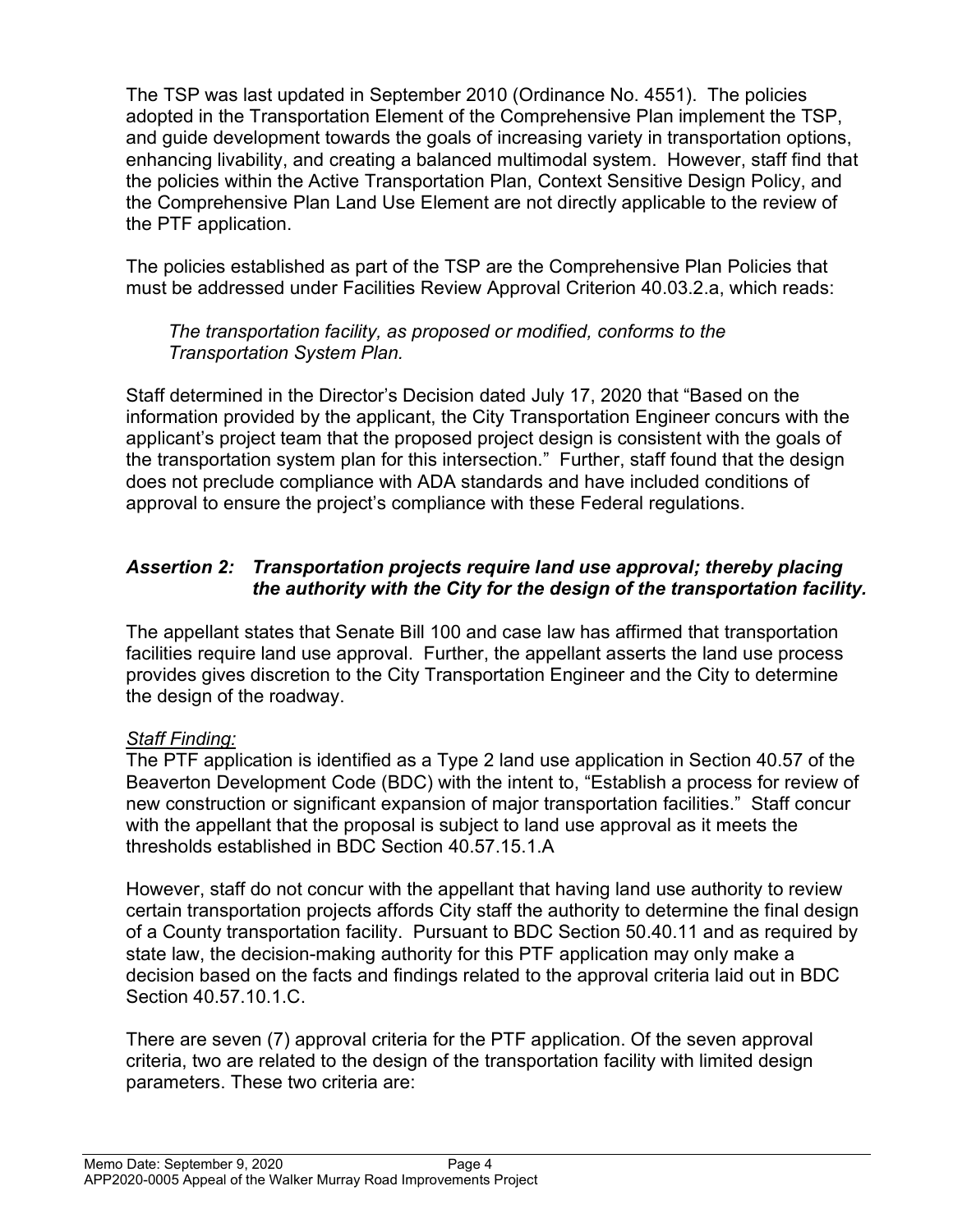The TSP was last updated in September 2010 (Ordinance No. 4551). The policies adopted in the Transportation Element of the Comprehensive Plan implement the TSP, and guide development towards the goals of increasing variety in transportation options, enhancing livability, and creating a balanced multimodal system. However, staff find that the policies within the Active Transportation Plan, Context Sensitive Design Policy, and the Comprehensive Plan Land Use Element are not directly applicable to the review of the PTF application.

The policies established as part of the TSP are the Comprehensive Plan Policies that must be addressed under Facilities Review Approval Criterion 40.03.2.a, which reads:

The transportation facility, as proposed or modified, conforms to the Transportation System Plan.

Staff determined in the Director's Decision dated July 17, 2020 that "Based on the information provided by the applicant, the City Transportation Engineer concurs with the applicant's project team that the proposed project design is consistent with the goals of the transportation system plan for this intersection." Further, staff found that the design does not preclude compliance with ADA standards and have included conditions of approval to ensure the project's compliance with these Federal regulations.

# Assertion 2: Transportation projects require land use approval; thereby placing the authority with the City for the design of the transportation facility.

The appellant states that Senate Bill 100 and case law has affirmed that transportation facilities require land use approval. Further, the appellant asserts the land use process provides gives discretion to the City Transportation Engineer and the City to determine the design of the roadway.

## Staff Finding:

The PTF application is identified as a Type 2 land use application in Section 40.57 of the Beaverton Development Code (BDC) with the intent to, "Establish a process for review of new construction or significant expansion of major transportation facilities." Staff concur with the appellant that the proposal is subject to land use approval as it meets the thresholds established in BDC Section 40.57.15.1.A

However, staff do not concur with the appellant that having land use authority to review certain transportation projects affords City staff the authority to determine the final design of a County transportation facility. Pursuant to BDC Section 50.40.11 and as required by state law, the decision-making authority for this PTF application may only make a decision based on the facts and findings related to the approval criteria laid out in BDC Section 40.57.10.1.C.

There are seven (7) approval criteria for the PTF application. Of the seven approval criteria, two are related to the design of the transportation facility with limited design parameters. These two criteria are: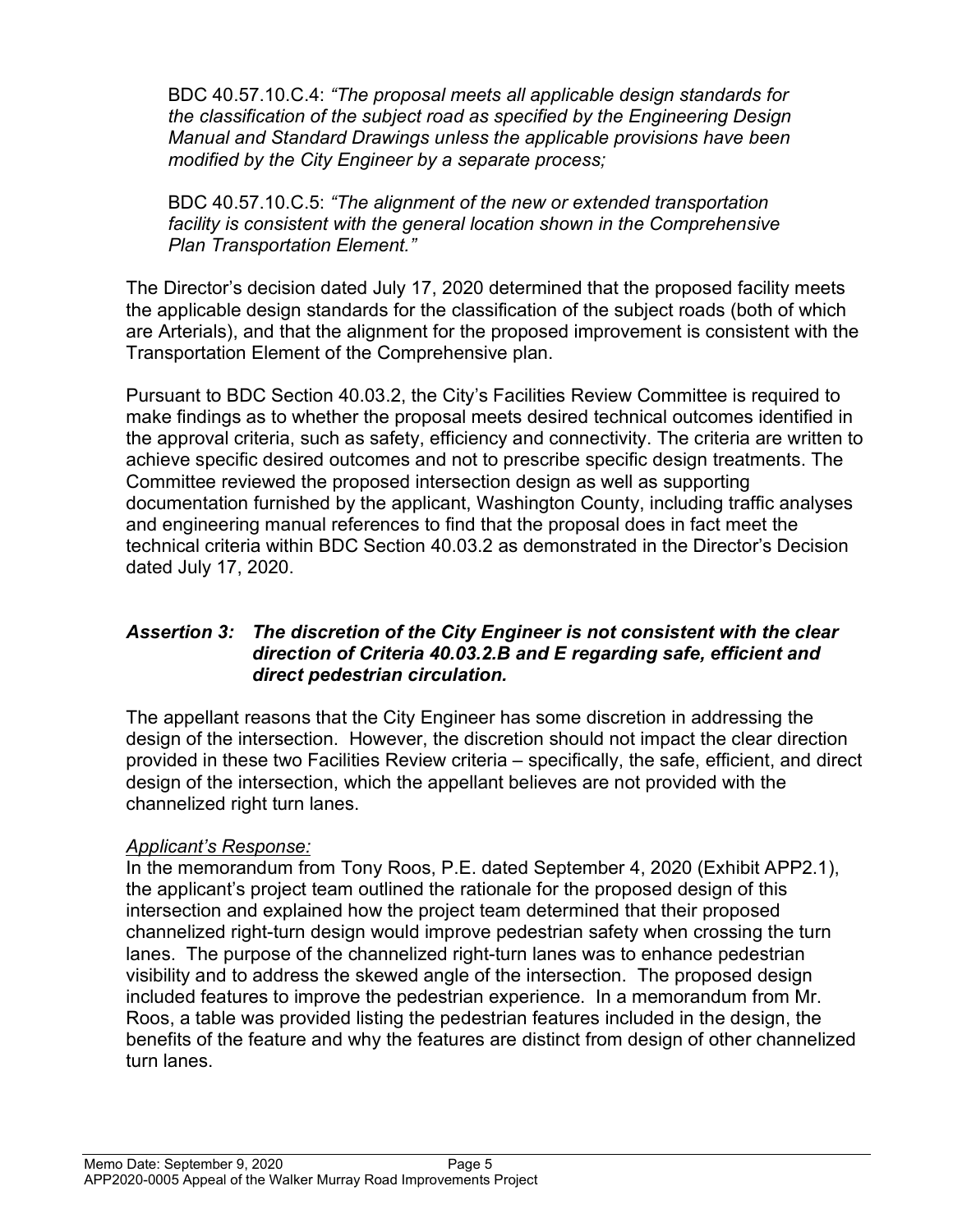BDC 40.57.10.C.4: "The proposal meets all applicable design standards for the classification of the subject road as specified by the Engineering Design Manual and Standard Drawings unless the applicable provisions have been modified by the City Engineer by a separate process;

BDC 40.57.10.C.5: "The alignment of the new or extended transportation facility is consistent with the general location shown in the Comprehensive Plan Transportation Element."

The Director's decision dated July 17, 2020 determined that the proposed facility meets the applicable design standards for the classification of the subject roads (both of which are Arterials), and that the alignment for the proposed improvement is consistent with the Transportation Element of the Comprehensive plan.

Pursuant to BDC Section 40.03.2, the City's Facilities Review Committee is required to make findings as to whether the proposal meets desired technical outcomes identified in the approval criteria, such as safety, efficiency and connectivity. The criteria are written to achieve specific desired outcomes and not to prescribe specific design treatments. The Committee reviewed the proposed intersection design as well as supporting documentation furnished by the applicant, Washington County, including traffic analyses and engineering manual references to find that the proposal does in fact meet the technical criteria within BDC Section 40.03.2 as demonstrated in the Director's Decision dated July 17, 2020.

#### Assertion 3: The discretion of the City Engineer is not consistent with the clear direction of Criteria 40.03.2.B and E regarding safe, efficient and direct pedestrian circulation.

The appellant reasons that the City Engineer has some discretion in addressing the design of the intersection. However, the discretion should not impact the clear direction provided in these two Facilities Review criteria – specifically, the safe, efficient, and direct design of the intersection, which the appellant believes are not provided with the channelized right turn lanes.

## Applicant's Response:

In the memorandum from Tony Roos, P.E. dated September 4, 2020 (Exhibit APP2.1), the applicant's project team outlined the rationale for the proposed design of this intersection and explained how the project team determined that their proposed channelized right-turn design would improve pedestrian safety when crossing the turn lanes. The purpose of the channelized right-turn lanes was to enhance pedestrian visibility and to address the skewed angle of the intersection. The proposed design included features to improve the pedestrian experience. In a memorandum from Mr. Roos, a table was provided listing the pedestrian features included in the design, the benefits of the feature and why the features are distinct from design of other channelized turn lanes.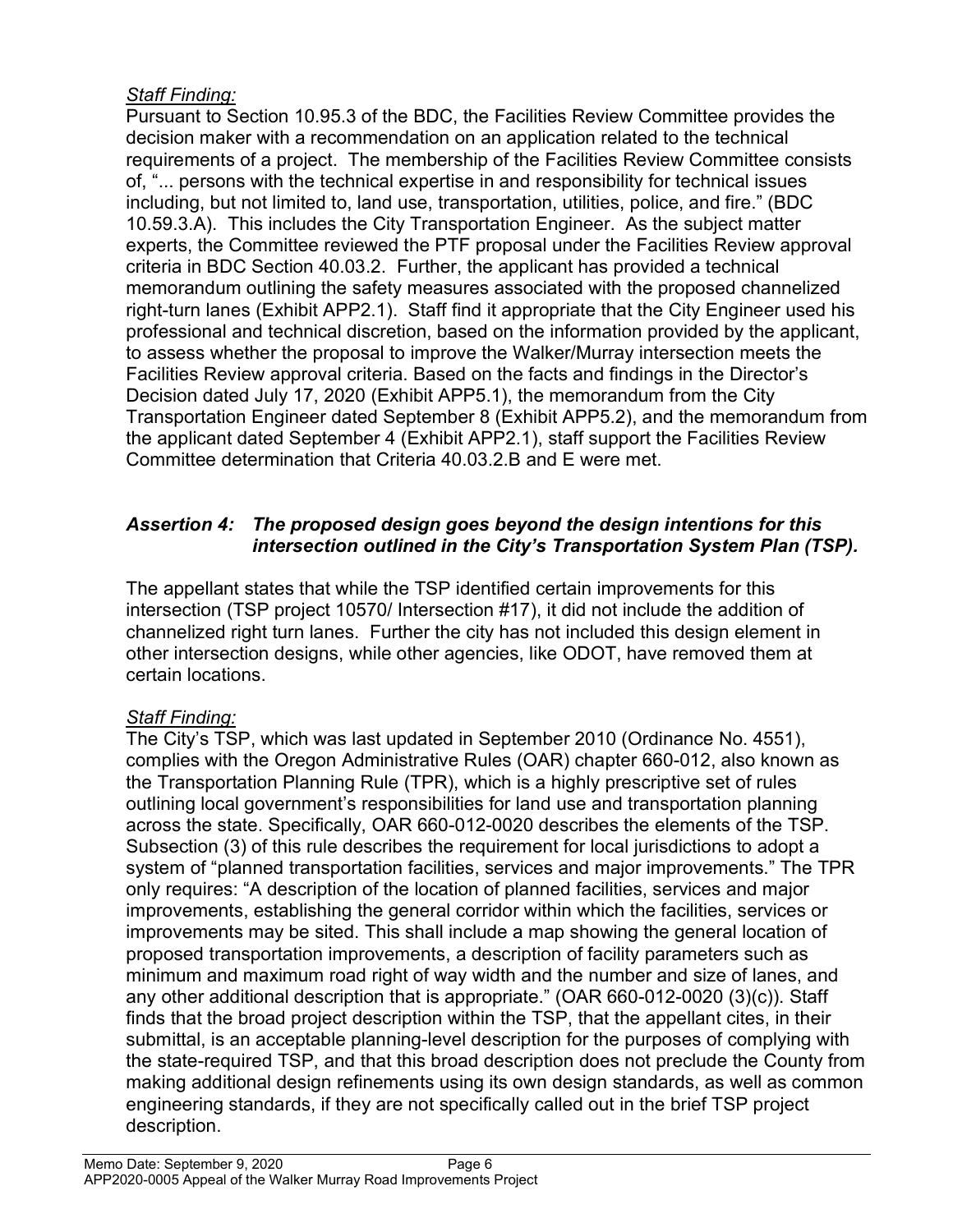# Staff Finding:

Pursuant to Section 10.95.3 of the BDC, the Facilities Review Committee provides the decision maker with a recommendation on an application related to the technical requirements of a project. The membership of the Facilities Review Committee consists of, "... persons with the technical expertise in and responsibility for technical issues including, but not limited to, land use, transportation, utilities, police, and fire." (BDC 10.59.3.A). This includes the City Transportation Engineer. As the subject matter experts, the Committee reviewed the PTF proposal under the Facilities Review approval criteria in BDC Section 40.03.2. Further, the applicant has provided a technical memorandum outlining the safety measures associated with the proposed channelized right-turn lanes (Exhibit APP2.1). Staff find it appropriate that the City Engineer used his professional and technical discretion, based on the information provided by the applicant, to assess whether the proposal to improve the Walker/Murray intersection meets the Facilities Review approval criteria. Based on the facts and findings in the Director's Decision dated July 17, 2020 (Exhibit APP5.1), the memorandum from the City Transportation Engineer dated September 8 (Exhibit APP5.2), and the memorandum from the applicant dated September 4 (Exhibit APP2.1), staff support the Facilities Review Committee determination that Criteria 40.03.2.B and E were met.

# Assertion 4: The proposed design goes beyond the design intentions for this intersection outlined in the City's Transportation System Plan (TSP).

The appellant states that while the TSP identified certain improvements for this intersection (TSP project 10570/ Intersection #17), it did not include the addition of channelized right turn lanes. Further the city has not included this design element in other intersection designs, while other agencies, like ODOT, have removed them at certain locations.

# Staff Finding:

The City's TSP, which was last updated in September 2010 (Ordinance No. 4551), complies with the Oregon Administrative Rules (OAR) chapter 660-012, also known as the Transportation Planning Rule (TPR), which is a highly prescriptive set of rules outlining local government's responsibilities for land use and transportation planning across the state. Specifically, OAR 660-012-0020 describes the elements of the TSP. Subsection (3) of this rule describes the requirement for local jurisdictions to adopt a system of "planned transportation facilities, services and major improvements." The TPR only requires: "A description of the location of planned facilities, services and major improvements, establishing the general corridor within which the facilities, services or improvements may be sited. This shall include a map showing the general location of proposed transportation improvements, a description of facility parameters such as minimum and maximum road right of way width and the number and size of lanes, and any other additional description that is appropriate." (OAR 660-012-0020 (3)(c)). Staff finds that the broad project description within the TSP, that the appellant cites, in their submittal, is an acceptable planning-level description for the purposes of complying with the state-required TSP, and that this broad description does not preclude the County from making additional design refinements using its own design standards, as well as common engineering standards, if they are not specifically called out in the brief TSP project description.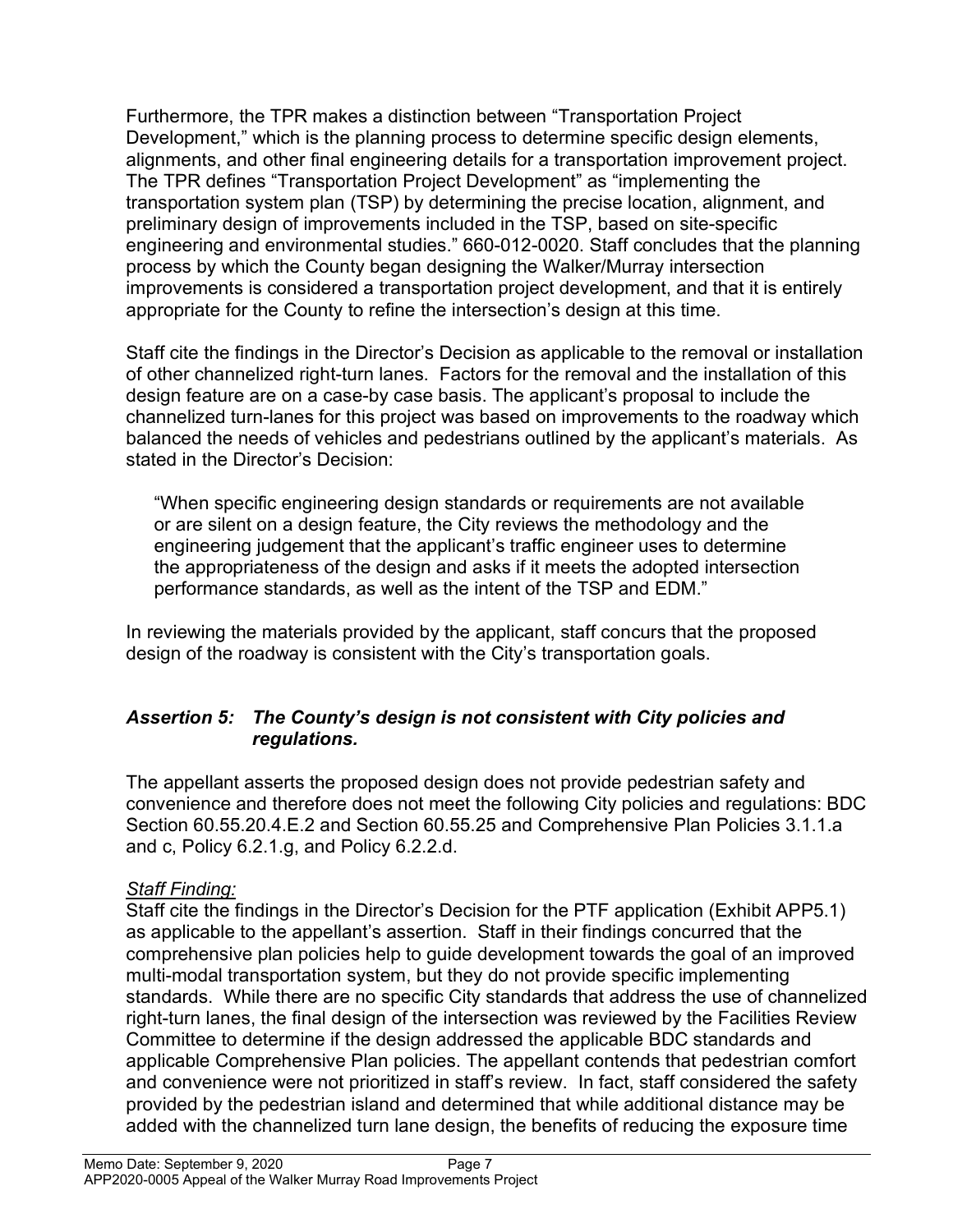Furthermore, the TPR makes a distinction between "Transportation Project Development," which is the planning process to determine specific design elements, alignments, and other final engineering details for a transportation improvement project. The TPR defines "Transportation Project Development" as "implementing the transportation system plan (TSP) by determining the precise location, alignment, and preliminary design of improvements included in the TSP, based on site-specific engineering and environmental studies." 660-012-0020. Staff concludes that the planning process by which the County began designing the Walker/Murray intersection improvements is considered a transportation project development, and that it is entirely appropriate for the County to refine the intersection's design at this time.

Staff cite the findings in the Director's Decision as applicable to the removal or installation of other channelized right-turn lanes. Factors for the removal and the installation of this design feature are on a case-by case basis. The applicant's proposal to include the channelized turn-lanes for this project was based on improvements to the roadway which balanced the needs of vehicles and pedestrians outlined by the applicant's materials. As stated in the Director's Decision:

"When specific engineering design standards or requirements are not available or are silent on a design feature, the City reviews the methodology and the engineering judgement that the applicant's traffic engineer uses to determine the appropriateness of the design and asks if it meets the adopted intersection performance standards, as well as the intent of the TSP and EDM."

In reviewing the materials provided by the applicant, staff concurs that the proposed design of the roadway is consistent with the City's transportation goals.

## Assertion 5: The County's design is not consistent with City policies and regulations.

The appellant asserts the proposed design does not provide pedestrian safety and convenience and therefore does not meet the following City policies and regulations: BDC Section 60.55.20.4.E.2 and Section 60.55.25 and Comprehensive Plan Policies 3.1.1.a and c, Policy 6.2.1.g, and Policy 6.2.2.d.

## Staff Finding:

Staff cite the findings in the Director's Decision for the PTF application (Exhibit APP5.1) as applicable to the appellant's assertion. Staff in their findings concurred that the comprehensive plan policies help to guide development towards the goal of an improved multi-modal transportation system, but they do not provide specific implementing standards. While there are no specific City standards that address the use of channelized right-turn lanes, the final design of the intersection was reviewed by the Facilities Review Committee to determine if the design addressed the applicable BDC standards and applicable Comprehensive Plan policies. The appellant contends that pedestrian comfort and convenience were not prioritized in staff's review. In fact, staff considered the safety provided by the pedestrian island and determined that while additional distance may be added with the channelized turn lane design, the benefits of reducing the exposure time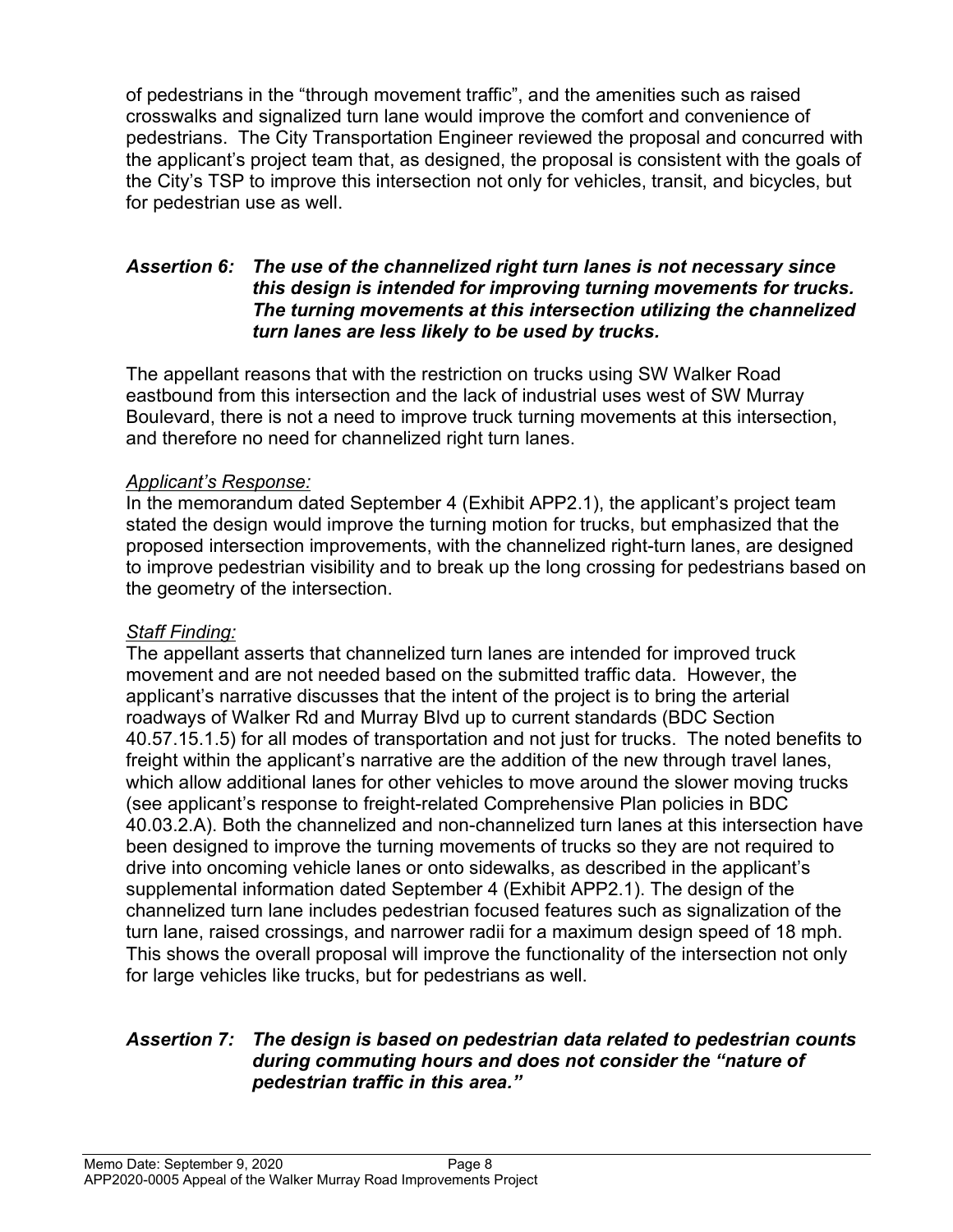of pedestrians in the "through movement traffic", and the amenities such as raised crosswalks and signalized turn lane would improve the comfort and convenience of pedestrians. The City Transportation Engineer reviewed the proposal and concurred with the applicant's project team that, as designed, the proposal is consistent with the goals of the City's TSP to improve this intersection not only for vehicles, transit, and bicycles, but for pedestrian use as well.

#### Assertion 6: The use of the channelized right turn lanes is not necessary since this design is intended for improving turning movements for trucks. The turning movements at this intersection utilizing the channelized turn lanes are less likely to be used by trucks.

The appellant reasons that with the restriction on trucks using SW Walker Road eastbound from this intersection and the lack of industrial uses west of SW Murray Boulevard, there is not a need to improve truck turning movements at this intersection, and therefore no need for channelized right turn lanes.

## Applicant's Response:

In the memorandum dated September 4 (Exhibit APP2.1), the applicant's project team stated the design would improve the turning motion for trucks, but emphasized that the proposed intersection improvements, with the channelized right-turn lanes, are designed to improve pedestrian visibility and to break up the long crossing for pedestrians based on the geometry of the intersection.

## Staff Finding:

The appellant asserts that channelized turn lanes are intended for improved truck movement and are not needed based on the submitted traffic data. However, the applicant's narrative discusses that the intent of the project is to bring the arterial roadways of Walker Rd and Murray Blvd up to current standards (BDC Section 40.57.15.1.5) for all modes of transportation and not just for trucks. The noted benefits to freight within the applicant's narrative are the addition of the new through travel lanes, which allow additional lanes for other vehicles to move around the slower moving trucks (see applicant's response to freight-related Comprehensive Plan policies in BDC 40.03.2.A). Both the channelized and non-channelized turn lanes at this intersection have been designed to improve the turning movements of trucks so they are not required to drive into oncoming vehicle lanes or onto sidewalks, as described in the applicant's supplemental information dated September 4 (Exhibit APP2.1). The design of the channelized turn lane includes pedestrian focused features such as signalization of the turn lane, raised crossings, and narrower radii for a maximum design speed of 18 mph. This shows the overall proposal will improve the functionality of the intersection not only for large vehicles like trucks, but for pedestrians as well.

#### Assertion 7: The design is based on pedestrian data related to pedestrian counts during commuting hours and does not consider the "nature of pedestrian traffic in this area."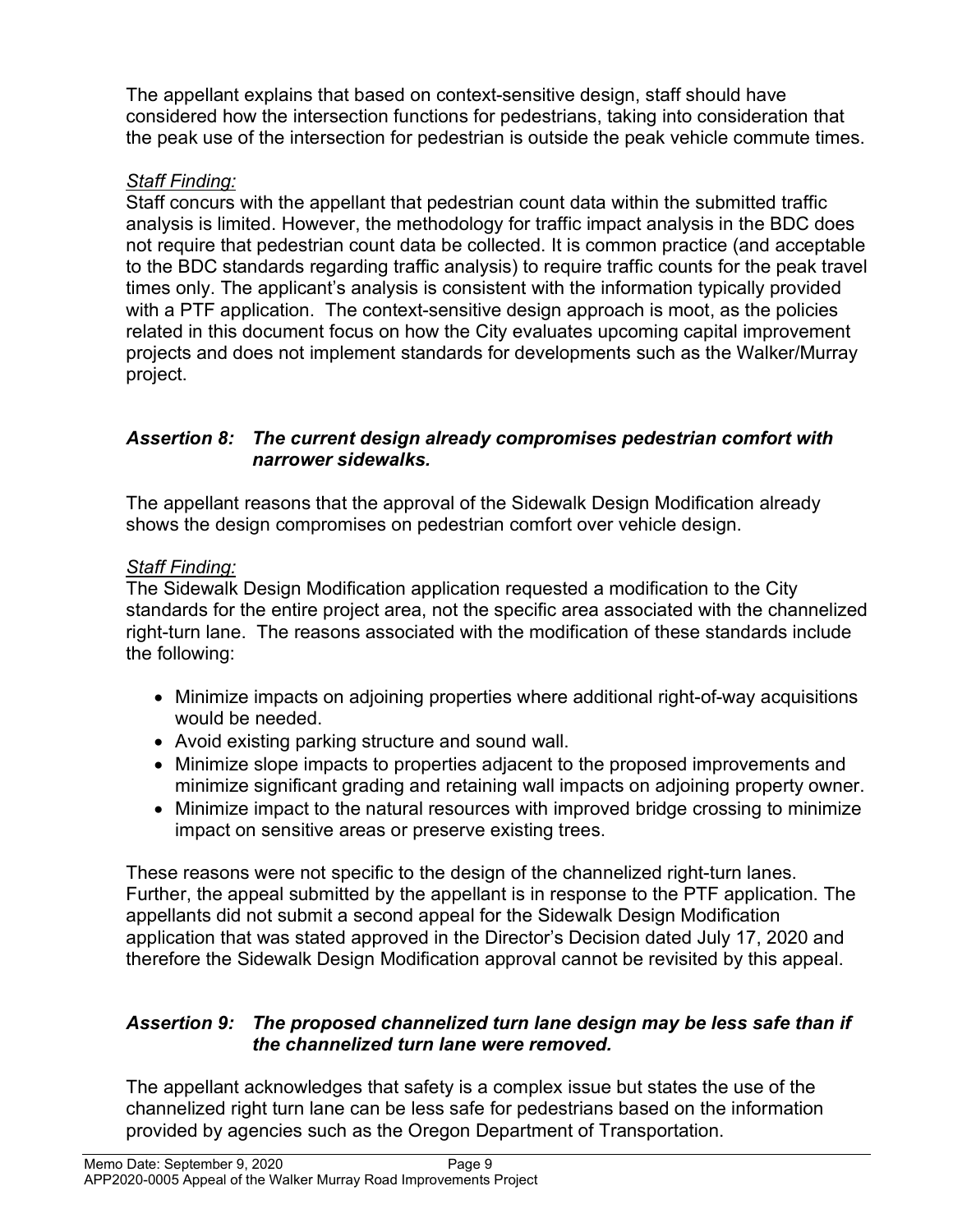The appellant explains that based on context-sensitive design, staff should have considered how the intersection functions for pedestrians, taking into consideration that the peak use of the intersection for pedestrian is outside the peak vehicle commute times.

# Staff Finding:

Staff concurs with the appellant that pedestrian count data within the submitted traffic analysis is limited. However, the methodology for traffic impact analysis in the BDC does not require that pedestrian count data be collected. It is common practice (and acceptable to the BDC standards regarding traffic analysis) to require traffic counts for the peak travel times only. The applicant's analysis is consistent with the information typically provided with a PTF application. The context-sensitive design approach is moot, as the policies related in this document focus on how the City evaluates upcoming capital improvement projects and does not implement standards for developments such as the Walker/Murray project.

# Assertion 8: The current design already compromises pedestrian comfort with narrower sidewalks.

The appellant reasons that the approval of the Sidewalk Design Modification already shows the design compromises on pedestrian comfort over vehicle design.

# Staff Finding:

The Sidewalk Design Modification application requested a modification to the City standards for the entire project area, not the specific area associated with the channelized right-turn lane. The reasons associated with the modification of these standards include the following:

- Minimize impacts on adjoining properties where additional right-of-way acquisitions would be needed.
- Avoid existing parking structure and sound wall.
- Minimize slope impacts to properties adjacent to the proposed improvements and minimize significant grading and retaining wall impacts on adjoining property owner.
- Minimize impact to the natural resources with improved bridge crossing to minimize impact on sensitive areas or preserve existing trees.

These reasons were not specific to the design of the channelized right-turn lanes. Further, the appeal submitted by the appellant is in response to the PTF application. The appellants did not submit a second appeal for the Sidewalk Design Modification application that was stated approved in the Director's Decision dated July 17, 2020 and therefore the Sidewalk Design Modification approval cannot be revisited by this appeal.

#### Assertion 9: The proposed channelized turn lane design may be less safe than if the channelized turn lane were removed.

The appellant acknowledges that safety is a complex issue but states the use of the channelized right turn lane can be less safe for pedestrians based on the information provided by agencies such as the Oregon Department of Transportation.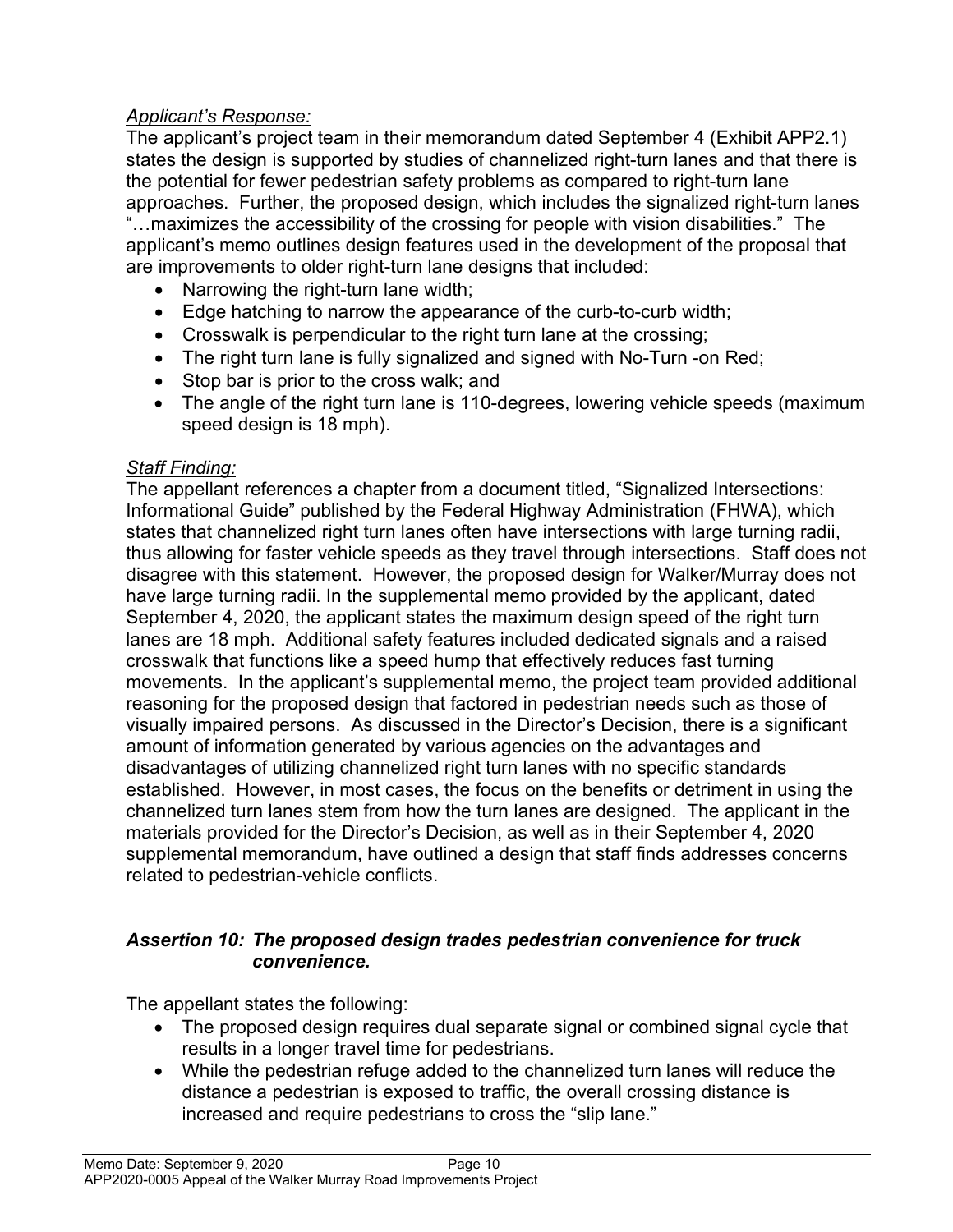# Applicant's Response:

The applicant's project team in their memorandum dated September 4 (Exhibit APP2.1) states the design is supported by studies of channelized right-turn lanes and that there is the potential for fewer pedestrian safety problems as compared to right-turn lane approaches. Further, the proposed design, which includes the signalized right-turn lanes "…maximizes the accessibility of the crossing for people with vision disabilities." The applicant's memo outlines design features used in the development of the proposal that are improvements to older right-turn lane designs that included:

- Narrowing the right-turn lane width;
- Edge hatching to narrow the appearance of the curb-to-curb width;
- Crosswalk is perpendicular to the right turn lane at the crossing;
- The right turn lane is fully signalized and signed with No-Turn -on Red;
- Stop bar is prior to the cross walk; and
- The angle of the right turn lane is 110-degrees, lowering vehicle speeds (maximum speed design is 18 mph).

## **Staff Finding:**

The appellant references a chapter from a document titled, "Signalized Intersections: Informational Guide" published by the Federal Highway Administration (FHWA), which states that channelized right turn lanes often have intersections with large turning radii, thus allowing for faster vehicle speeds as they travel through intersections. Staff does not disagree with this statement. However, the proposed design for Walker/Murray does not have large turning radii. In the supplemental memo provided by the applicant, dated September 4, 2020, the applicant states the maximum design speed of the right turn lanes are 18 mph. Additional safety features included dedicated signals and a raised crosswalk that functions like a speed hump that effectively reduces fast turning movements. In the applicant's supplemental memo, the project team provided additional reasoning for the proposed design that factored in pedestrian needs such as those of visually impaired persons. As discussed in the Director's Decision, there is a significant amount of information generated by various agencies on the advantages and disadvantages of utilizing channelized right turn lanes with no specific standards established. However, in most cases, the focus on the benefits or detriment in using the channelized turn lanes stem from how the turn lanes are designed. The applicant in the materials provided for the Director's Decision, as well as in their September 4, 2020 supplemental memorandum, have outlined a design that staff finds addresses concerns related to pedestrian-vehicle conflicts.

## Assertion 10: The proposed design trades pedestrian convenience for truck convenience.

The appellant states the following:

- The proposed design requires dual separate signal or combined signal cycle that results in a longer travel time for pedestrians.
- While the pedestrian refuge added to the channelized turn lanes will reduce the distance a pedestrian is exposed to traffic, the overall crossing distance is increased and require pedestrians to cross the "slip lane."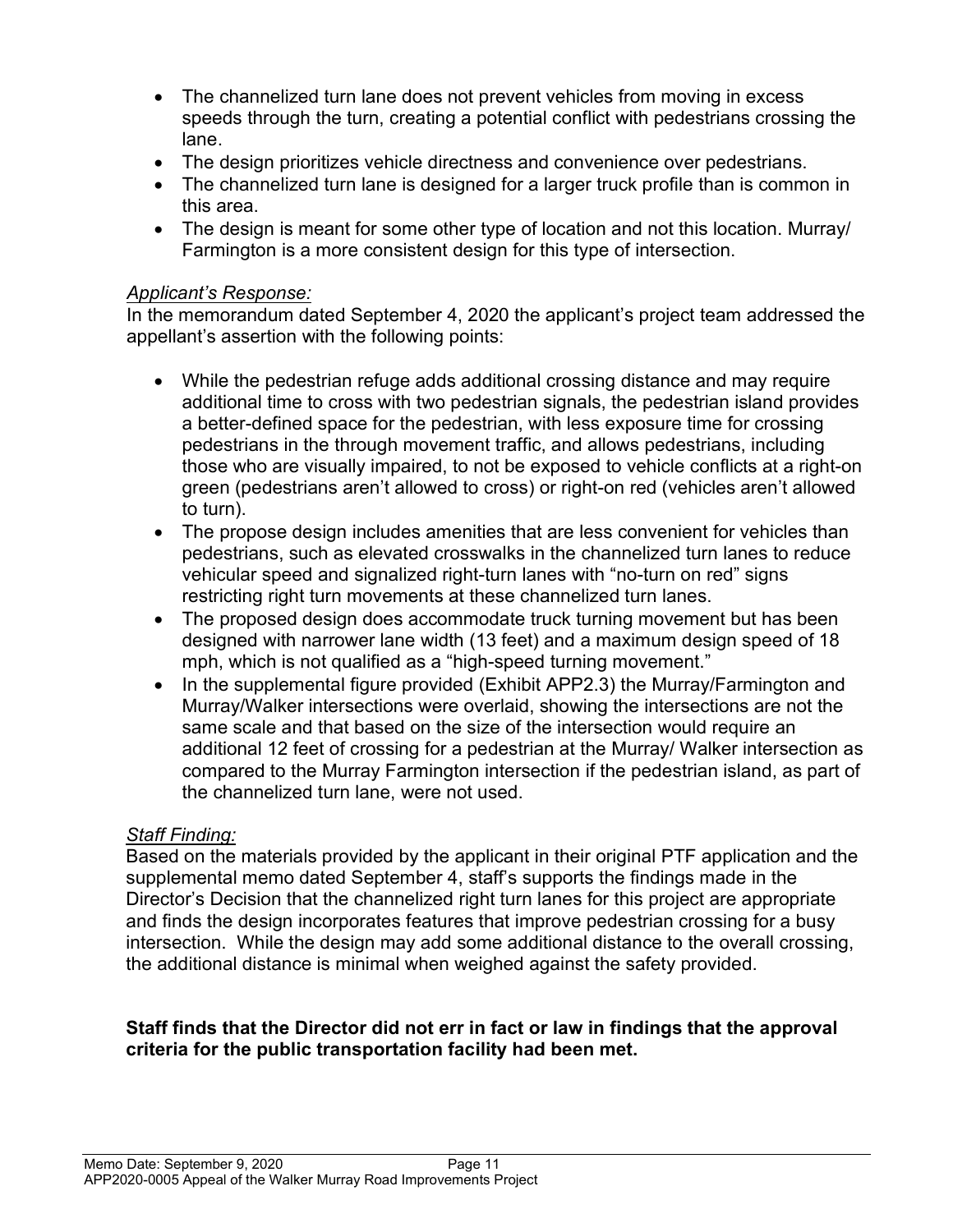- The channelized turn lane does not prevent vehicles from moving in excess speeds through the turn, creating a potential conflict with pedestrians crossing the lane.
- The design prioritizes vehicle directness and convenience over pedestrians.
- The channelized turn lane is designed for a larger truck profile than is common in this area.
- The design is meant for some other type of location and not this location. Murray/ Farmington is a more consistent design for this type of intersection.

#### Applicant's Response:

In the memorandum dated September 4, 2020 the applicant's project team addressed the appellant's assertion with the following points:

- While the pedestrian refuge adds additional crossing distance and may require additional time to cross with two pedestrian signals, the pedestrian island provides a better-defined space for the pedestrian, with less exposure time for crossing pedestrians in the through movement traffic, and allows pedestrians, including those who are visually impaired, to not be exposed to vehicle conflicts at a right-on green (pedestrians aren't allowed to cross) or right-on red (vehicles aren't allowed to turn).
- The propose design includes amenities that are less convenient for vehicles than pedestrians, such as elevated crosswalks in the channelized turn lanes to reduce vehicular speed and signalized right-turn lanes with "no-turn on red" signs restricting right turn movements at these channelized turn lanes.
- The proposed design does accommodate truck turning movement but has been designed with narrower lane width (13 feet) and a maximum design speed of 18 mph, which is not qualified as a "high-speed turning movement."
- In the supplemental figure provided (Exhibit APP2.3) the Murray/Farmington and Murray/Walker intersections were overlaid, showing the intersections are not the same scale and that based on the size of the intersection would require an additional 12 feet of crossing for a pedestrian at the Murray/ Walker intersection as compared to the Murray Farmington intersection if the pedestrian island, as part of the channelized turn lane, were not used.

## Staff Finding:

Based on the materials provided by the applicant in their original PTF application and the supplemental memo dated September 4, staff's supports the findings made in the Director's Decision that the channelized right turn lanes for this project are appropriate and finds the design incorporates features that improve pedestrian crossing for a busy intersection. While the design may add some additional distance to the overall crossing, the additional distance is minimal when weighed against the safety provided.

#### Staff finds that the Director did not err in fact or law in findings that the approval criteria for the public transportation facility had been met.